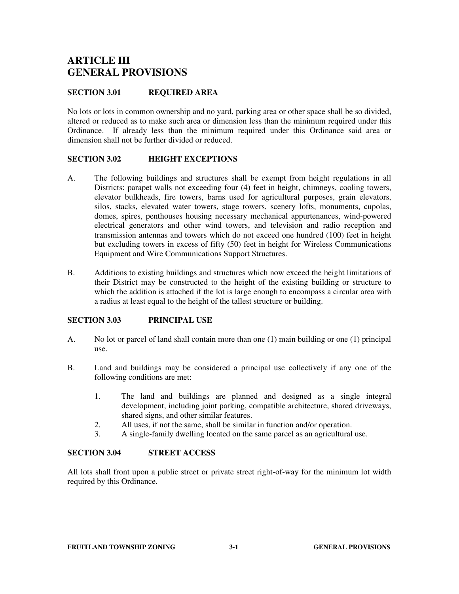# **ARTICLE III GENERAL PROVISIONS**

### **SECTION 3.01 REQUIRED AREA**

No lots or lots in common ownership and no yard, parking area or other space shall be so divided, altered or reduced as to make such area or dimension less than the minimum required under this Ordinance. If already less than the minimum required under this Ordinance said area or dimension shall not be further divided or reduced.

### **SECTION 3.02 HEIGHT EXCEPTIONS**

- A. The following buildings and structures shall be exempt from height regulations in all Districts: parapet walls not exceeding four (4) feet in height, chimneys, cooling towers, elevator bulkheads, fire towers, barns used for agricultural purposes, grain elevators, silos, stacks, elevated water towers, stage towers, scenery lofts, monuments, cupolas, domes, spires, penthouses housing necessary mechanical appurtenances, wind-powered electrical generators and other wind towers, and television and radio reception and transmission antennas and towers which do not exceed one hundred (100) feet in height but excluding towers in excess of fifty (50) feet in height for Wireless Communications Equipment and Wire Communications Support Structures.
- B. Additions to existing buildings and structures which now exceed the height limitations of their District may be constructed to the height of the existing building or structure to which the addition is attached if the lot is large enough to encompass a circular area with a radius at least equal to the height of the tallest structure or building.

### **SECTION 3.03 PRINCIPAL USE**

- A. No lot or parcel of land shall contain more than one (1) main building or one (1) principal use.
- B. Land and buildings may be considered a principal use collectively if any one of the following conditions are met:
	- 1. The land and buildings are planned and designed as a single integral development, including joint parking, compatible architecture, shared driveways, shared signs, and other similar features.
	- 2. All uses, if not the same, shall be similar in function and/or operation.
	- 3. A single-family dwelling located on the same parcel as an agricultural use.

### **SECTION 3.04 STREET ACCESS**

All lots shall front upon a public street or private street right-of-way for the minimum lot width required by this Ordinance.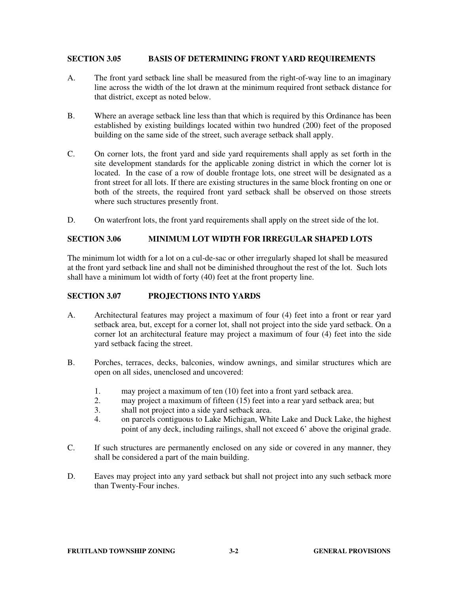#### **SECTION 3.05 BASIS OF DETERMINING FRONT YARD REQUIREMENTS**

- A. The front yard setback line shall be measured from the right-of-way line to an imaginary line across the width of the lot drawn at the minimum required front setback distance for that district, except as noted below.
- B. Where an average setback line less than that which is required by this Ordinance has been established by existing buildings located within two hundred (200) feet of the proposed building on the same side of the street, such average setback shall apply.
- C. On corner lots, the front yard and side yard requirements shall apply as set forth in the site development standards for the applicable zoning district in which the corner lot is located. In the case of a row of double frontage lots, one street will be designated as a front street for all lots. If there are existing structures in the same block fronting on one or both of the streets, the required front yard setback shall be observed on those streets where such structures presently front.
- D. On waterfront lots, the front yard requirements shall apply on the street side of the lot.

### **SECTION 3.06 MINIMUM LOT WIDTH FOR IRREGULAR SHAPED LOTS**

The minimum lot width for a lot on a cul-de-sac or other irregularly shaped lot shall be measured at the front yard setback line and shall not be diminished throughout the rest of the lot. Such lots shall have a minimum lot width of forty (40) feet at the front property line.

### **SECTION 3.07 PROJECTIONS INTO YARDS**

- A. Architectural features may project a maximum of four (4) feet into a front or rear yard setback area, but, except for a corner lot, shall not project into the side yard setback. On a corner lot an architectural feature may project a maximum of four (4) feet into the side yard setback facing the street.
- B. Porches, terraces, decks, balconies, window awnings, and similar structures which are open on all sides, unenclosed and uncovered:
	- 1. may project a maximum of ten (10) feet into a front yard setback area.
	- 2. may project a maximum of fifteen (15) feet into a rear yard setback area; but
	- 3. shall not project into a side yard setback area.
	- 4. on parcels contiguous to Lake Michigan, White Lake and Duck Lake, the highest point of any deck, including railings, shall not exceed 6' above the original grade.
- C. If such structures are permanently enclosed on any side or covered in any manner, they shall be considered a part of the main building.
- D. Eaves may project into any yard setback but shall not project into any such setback more than Twenty-Four inches.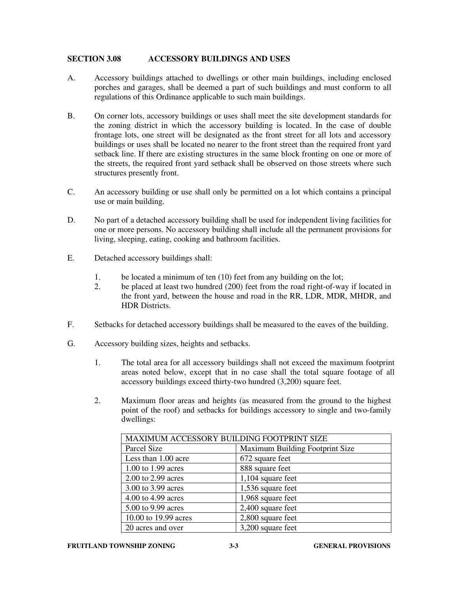### **SECTION 3.08 ACCESSORY BUILDINGS AND USES**

- A. Accessory buildings attached to dwellings or other main buildings, including enclosed porches and garages, shall be deemed a part of such buildings and must conform to all regulations of this Ordinance applicable to such main buildings.
- B. On corner lots, accessory buildings or uses shall meet the site development standards for the zoning district in which the accessory building is located. In the case of double frontage lots, one street will be designated as the front street for all lots and accessory buildings or uses shall be located no nearer to the front street than the required front yard setback line. If there are existing structures in the same block fronting on one or more of the streets, the required front yard setback shall be observed on those streets where such structures presently front.
- C. An accessory building or use shall only be permitted on a lot which contains a principal use or main building.
- D. No part of a detached accessory building shall be used for independent living facilities for one or more persons. No accessory building shall include all the permanent provisions for living, sleeping, eating, cooking and bathroom facilities.
- E. Detached accessory buildings shall:
	- 1. be located a minimum of ten (10) feet from any building on the lot;
	- 2. be placed at least two hundred (200) feet from the road right-of-way if located in the front yard, between the house and road in the RR, LDR, MDR, MHDR, and HDR Districts.
- F. Setbacks for detached accessory buildings shall be measured to the eaves of the building.
- G. Accessory building sizes, heights and setbacks.
	- 1. The total area for all accessory buildings shall not exceed the maximum footprint areas noted below, except that in no case shall the total square footage of all accessory buildings exceed thirty-two hundred (3,200) square feet.
	- 2. Maximum floor areas and heights (as measured from the ground to the highest point of the roof) and setbacks for buildings accessory to single and two-family dwellings:

| MAXIMUM ACCESSORY BUILDING FOOTPRINT SIZE |                                 |  |
|-------------------------------------------|---------------------------------|--|
| Parcel Size                               | Maximum Building Footprint Size |  |
| Less than 1.00 acre                       | 672 square feet                 |  |
| 1.00 to 1.99 acres                        | 888 square feet                 |  |
| 2.00 to 2.99 acres                        | $1,104$ square feet             |  |
| 3.00 to 3.99 acres                        | 1,536 square feet               |  |
| 4.00 to 4.99 acres                        | 1,968 square feet               |  |
| 5.00 to 9.99 acres                        | 2,400 square feet               |  |
| 10.00 to 19.99 acres                      | 2,800 square feet               |  |
| 20 acres and over                         | 3,200 square feet               |  |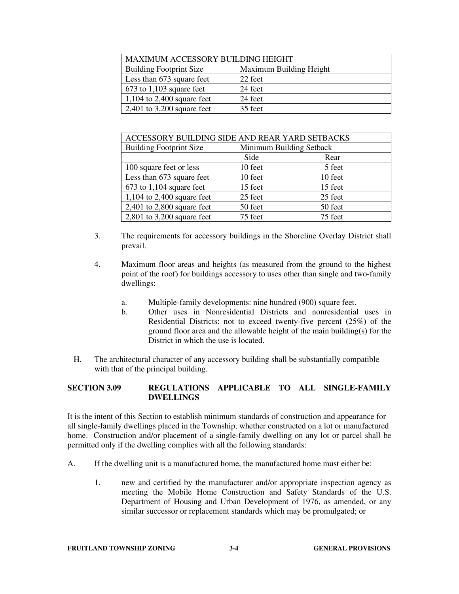| MAXIMUM ACCESSORY BUILDING HEIGHT |                         |  |
|-----------------------------------|-------------------------|--|
| <b>Building Footprint Size</b>    | Maximum Building Height |  |
| Less than 673 square feet         | 22 feet                 |  |
| $673$ to 1,103 square feet        | 24 feet                 |  |
| 1,104 to 2,400 square feet        | 24 feet                 |  |
| $2,401$ to 3,200 square feet      | 35 feet                 |  |

| ACCESSORY BUILDING SIDE AND REAR YARD SETBACKS |                          |         |  |  |
|------------------------------------------------|--------------------------|---------|--|--|
| <b>Building Footprint Size</b>                 | Minimum Building Setback |         |  |  |
|                                                | Side                     | Rear    |  |  |
| 100 square feet or less                        | 10 feet                  | 5 feet  |  |  |
| Less than 673 square feet                      | 10 feet                  | 10 feet |  |  |
| $673$ to 1,104 square feet                     | 15 feet                  | 15 feet |  |  |
| $1,104$ to 2,400 square feet                   | 25 feet                  | 25 feet |  |  |
| $2,401$ to $2,800$ square feet                 | 50 feet                  | 50 feet |  |  |
| $2,801$ to 3,200 square feet                   | 75 feet                  | 75 feet |  |  |

- 3. The requirements for accessory buildings in the Shoreline Overlay District shall prevail.
- 4. Maximum floor areas and heights (as measured from the ground to the highest point of the roof) for buildings accessory to uses other than single and two-family dwellings:
	- a. Multiple-family developments: nine hundred (900) square feet.
	- b. Other uses in Nonresidential Districts and nonresidential uses in Residential Districts: not to exceed twenty-five percent (25%) of the ground floor area and the allowable height of the main building(s) for the District in which the use is located.
- H. The architectural character of any accessory building shall be substantially compatible with that of the principal building.

# **SECTION 3.09 REGULATIONS APPLICABLE TO ALL SINGLE-FAMILY DWELLINGS**

It is the intent of this Section to establish minimum standards of construction and appearance for all single-family dwellings placed in the Township, whether constructed on a lot or manufactured home. Construction and/or placement of a single-family dwelling on any lot or parcel shall be permitted only if the dwelling complies with all the following standards:

- A. If the dwelling unit is a manufactured home, the manufactured home must either be:
	- 1. new and certified by the manufacturer and/or appropriate inspection agency as meeting the Mobile Home Construction and Safety Standards of the U.S. Department of Housing and Urban Development of 1976, as amended, or any similar successor or replacement standards which may be promulgated; or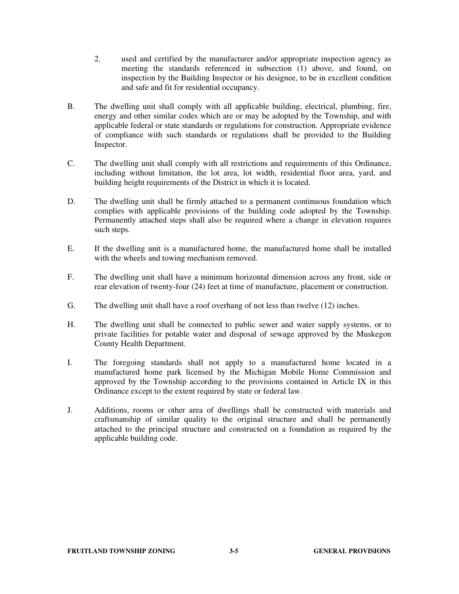- 2. used and certified by the manufacturer and/or appropriate inspection agency as meeting the standards referenced in subsection (1) above, and found, on inspection by the Building Inspector or his designee, to be in excellent condition and safe and fit for residential occupancy.
- B. The dwelling unit shall comply with all applicable building, electrical, plumbing, fire, energy and other similar codes which are or may be adopted by the Township, and with applicable federal or state standards or regulations for construction. Appropriate evidence of compliance with such standards or regulations shall be provided to the Building Inspector.
- C. The dwelling unit shall comply with all restrictions and requirements of this Ordinance, including without limitation, the lot area, lot width, residential floor area, yard, and building height requirements of the District in which it is located.
- D. The dwelling unit shall be firmly attached to a permanent continuous foundation which complies with applicable provisions of the building code adopted by the Township. Permanently attached steps shall also be required where a change in elevation requires such steps.
- E. If the dwelling unit is a manufactured home, the manufactured home shall be installed with the wheels and towing mechanism removed.
- F. The dwelling unit shall have a minimum horizontal dimension across any front, side or rear elevation of twenty-four (24) feet at time of manufacture, placement or construction.
- G. The dwelling unit shall have a roof overhang of not less than twelve (12) inches.
- H. The dwelling unit shall be connected to public sewer and water supply systems, or to private facilities for potable water and disposal of sewage approved by the Muskegon County Health Department.
- I. The foregoing standards shall not apply to a manufactured home located in a manufactured home park licensed by the Michigan Mobile Home Commission and approved by the Township according to the provisions contained in Article IX in this Ordinance except to the extent required by state or federal law.
- J. Additions, rooms or other area of dwellings shall be constructed with materials and craftsmanship of similar quality to the original structure and shall be permanently attached to the principal structure and constructed on a foundation as required by the applicable building code.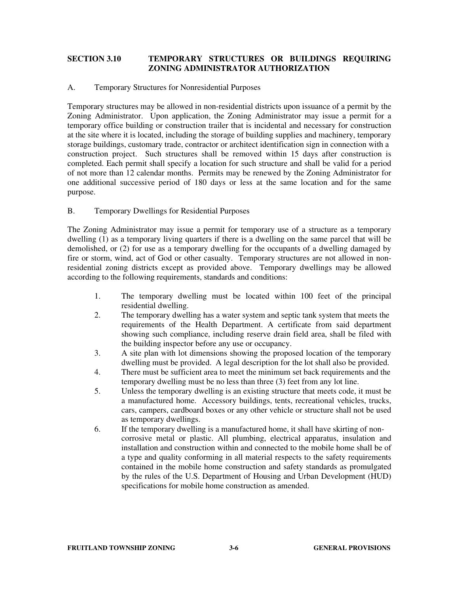# **SECTION 3.10 TEMPORARY STRUCTURES OR BUILDINGS REQUIRING ZONING ADMINISTRATOR AUTHORIZATION**

#### A. Temporary Structures for Nonresidential Purposes

Temporary structures may be allowed in non-residential districts upon issuance of a permit by the Zoning Administrator. Upon application, the Zoning Administrator may issue a permit for a temporary office building or construction trailer that is incidental and necessary for construction at the site where it is located, including the storage of building supplies and machinery, temporary storage buildings, customary trade, contractor or architect identification sign in connection with a construction project. Such structures shall be removed within 15 days after construction is completed. Each permit shall specify a location for such structure and shall be valid for a period of not more than 12 calendar months. Permits may be renewed by the Zoning Administrator for one additional successive period of 180 days or less at the same location and for the same purpose.

### B. Temporary Dwellings for Residential Purposes

The Zoning Administrator may issue a permit for temporary use of a structure as a temporary dwelling (1) as a temporary living quarters if there is a dwelling on the same parcel that will be demolished, or (2) for use as a temporary dwelling for the occupants of a dwelling damaged by fire or storm, wind, act of God or other casualty. Temporary structures are not allowed in nonresidential zoning districts except as provided above. Temporary dwellings may be allowed according to the following requirements, standards and conditions:

- 1. The temporary dwelling must be located within 100 feet of the principal residential dwelling.
- 2. The temporary dwelling has a water system and septic tank system that meets the requirements of the Health Department. A certificate from said department showing such compliance, including reserve drain field area, shall be filed with the building inspector before any use or occupancy.
- 3. A site plan with lot dimensions showing the proposed location of the temporary dwelling must be provided. A legal description for the lot shall also be provided.
- 4. There must be sufficient area to meet the minimum set back requirements and the temporary dwelling must be no less than three (3) feet from any lot line.
- 5. Unless the temporary dwelling is an existing structure that meets code, it must be a manufactured home. Accessory buildings, tents, recreational vehicles, trucks, cars, campers, cardboard boxes or any other vehicle or structure shall not be used as temporary dwellings.
- 6. If the temporary dwelling is a manufactured home, it shall have skirting of noncorrosive metal or plastic. All plumbing, electrical apparatus, insulation and installation and construction within and connected to the mobile home shall be of a type and quality conforming in all material respects to the safety requirements contained in the mobile home construction and safety standards as promulgated by the rules of the U.S. Department of Housing and Urban Development (HUD) specifications for mobile home construction as amended.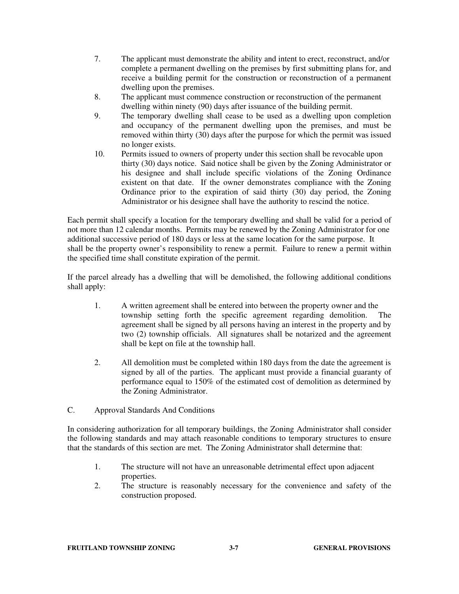- 7. The applicant must demonstrate the ability and intent to erect, reconstruct, and/or complete a permanent dwelling on the premises by first submitting plans for, and receive a building permit for the construction or reconstruction of a permanent dwelling upon the premises.
- 8. The applicant must commence construction or reconstruction of the permanent dwelling within ninety (90) days after issuance of the building permit.
- 9. The temporary dwelling shall cease to be used as a dwelling upon completion and occupancy of the permanent dwelling upon the premises, and must be removed within thirty (30) days after the purpose for which the permit was issued no longer exists.
- 10. Permits issued to owners of property under this section shall be revocable upon thirty (30) days notice. Said notice shall be given by the Zoning Administrator or his designee and shall include specific violations of the Zoning Ordinance existent on that date. If the owner demonstrates compliance with the Zoning Ordinance prior to the expiration of said thirty (30) day period, the Zoning Administrator or his designee shall have the authority to rescind the notice.

Each permit shall specify a location for the temporary dwelling and shall be valid for a period of not more than 12 calendar months. Permits may be renewed by the Zoning Administrator for one additional successive period of 180 days or less at the same location for the same purpose. It shall be the property owner's responsibility to renew a permit. Failure to renew a permit within the specified time shall constitute expiration of the permit.

If the parcel already has a dwelling that will be demolished, the following additional conditions shall apply:

- 1. A written agreement shall be entered into between the property owner and the township setting forth the specific agreement regarding demolition. The agreement shall be signed by all persons having an interest in the property and by two (2) township officials. All signatures shall be notarized and the agreement shall be kept on file at the township hall.
- 2. All demolition must be completed within 180 days from the date the agreement is signed by all of the parties. The applicant must provide a financial guaranty of performance equal to 150% of the estimated cost of demolition as determined by the Zoning Administrator.
- C. Approval Standards And Conditions

In considering authorization for all temporary buildings, the Zoning Administrator shall consider the following standards and may attach reasonable conditions to temporary structures to ensure that the standards of this section are met. The Zoning Administrator shall determine that:

- 1. The structure will not have an unreasonable detrimental effect upon adjacent properties.
- 2. The structure is reasonably necessary for the convenience and safety of the construction proposed.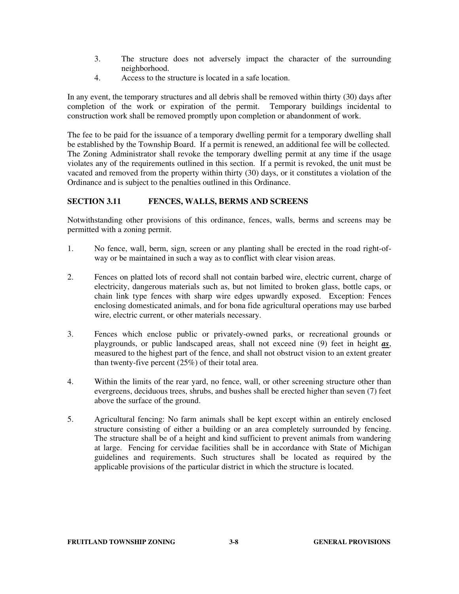- 3. The structure does not adversely impact the character of the surrounding neighborhood.
- 4. Access to the structure is located in a safe location.

In any event, the temporary structures and all debris shall be removed within thirty (30) days after completion of the work or expiration of the permit. Temporary buildings incidental to construction work shall be removed promptly upon completion or abandonment of work.

The fee to be paid for the issuance of a temporary dwelling permit for a temporary dwelling shall be established by the Township Board. If a permit is renewed, an additional fee will be collected. The Zoning Administrator shall revoke the temporary dwelling permit at any time if the usage violates any of the requirements outlined in this section. If a permit is revoked, the unit must be vacated and removed from the property within thirty (30) days, or it constitutes a violation of the Ordinance and is subject to the penalties outlined in this Ordinance.

# **SECTION 3.11 FENCES, WALLS, BERMS AND SCREENS**

Notwithstanding other provisions of this ordinance, fences, walls, berms and screens may be permitted with a zoning permit.

- 1. No fence, wall, berm, sign, screen or any planting shall be erected in the road right-ofway or be maintained in such a way as to conflict with clear vision areas.
- 2. Fences on platted lots of record shall not contain barbed wire, electric current, charge of electricity, dangerous materials such as, but not limited to broken glass, bottle caps, or chain link type fences with sharp wire edges upwardly exposed. Exception: Fences enclosing domesticated animals, and for bona fide agricultural operations may use barbed wire, electric current, or other materials necessary.
- 3. Fences which enclose public or privately-owned parks, or recreational grounds or playgrounds, or public landscaped areas, shall not exceed nine (9) feet in height *as*, measured to the highest part of the fence, and shall not obstruct vision to an extent greater than twenty-five percent (25%) of their total area.
- 4. Within the limits of the rear yard, no fence, wall, or other screening structure other than evergreens, deciduous trees, shrubs, and bushes shall be erected higher than seven (7) feet above the surface of the ground.
- 5. Agricultural fencing: No farm animals shall be kept except within an entirely enclosed structure consisting of either a building or an area completely surrounded by fencing. The structure shall be of a height and kind sufficient to prevent animals from wandering at large. Fencing for cervidae facilities shall be in accordance with State of Michigan guidelines and requirements. Such structures shall be located as required by the applicable provisions of the particular district in which the structure is located.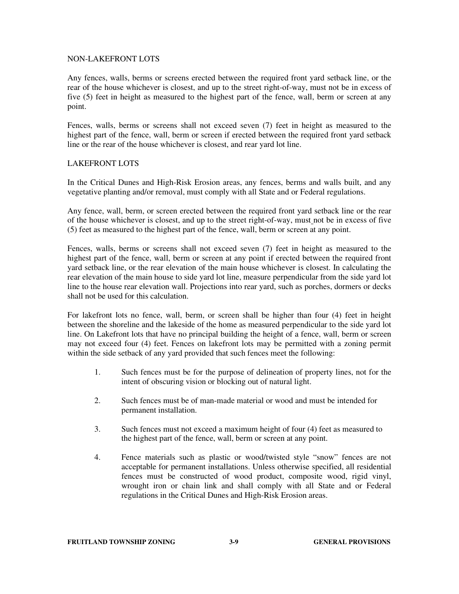#### NON-LAKEFRONT LOTS

Any fences, walls, berms or screens erected between the required front yard setback line, or the rear of the house whichever is closest, and up to the street right-of-way, must not be in excess of five (5) feet in height as measured to the highest part of the fence, wall, berm or screen at any point.

Fences, walls, berms or screens shall not exceed seven (7) feet in height as measured to the highest part of the fence, wall, berm or screen if erected between the required front yard setback line or the rear of the house whichever is closest, and rear yard lot line.

### LAKEFRONT LOTS

In the Critical Dunes and High-Risk Erosion areas, any fences, berms and walls built, and any vegetative planting and/or removal, must comply with all State and or Federal regulations.

Any fence, wall, berm, or screen erected between the required front yard setback line or the rear of the house whichever is closest, and up to the street right-of-way, must not be in excess of five (5) feet as measured to the highest part of the fence, wall, berm or screen at any point.

Fences, walls, berms or screens shall not exceed seven (7) feet in height as measured to the highest part of the fence, wall, berm or screen at any point if erected between the required front yard setback line, or the rear elevation of the main house whichever is closest. In calculating the rear elevation of the main house to side yard lot line, measure perpendicular from the side yard lot line to the house rear elevation wall. Projections into rear yard, such as porches, dormers or decks shall not be used for this calculation.

For lakefront lots no fence, wall, berm, or screen shall be higher than four (4) feet in height between the shoreline and the lakeside of the home as measured perpendicular to the side yard lot line. On Lakefront lots that have no principal building the height of a fence, wall, berm or screen may not exceed four (4) feet. Fences on lakefront lots may be permitted with a zoning permit within the side setback of any yard provided that such fences meet the following:

- 1. Such fences must be for the purpose of delineation of property lines, not for the intent of obscuring vision or blocking out of natural light.
- 2. Such fences must be of man-made material or wood and must be intended for permanent installation.
- 3. Such fences must not exceed a maximum height of four (4) feet as measured to the highest part of the fence, wall, berm or screen at any point.
- 4. Fence materials such as plastic or wood/twisted style "snow" fences are not acceptable for permanent installations. Unless otherwise specified, all residential fences must be constructed of wood product, composite wood, rigid vinyl, wrought iron or chain link and shall comply with all State and or Federal regulations in the Critical Dunes and High-Risk Erosion areas.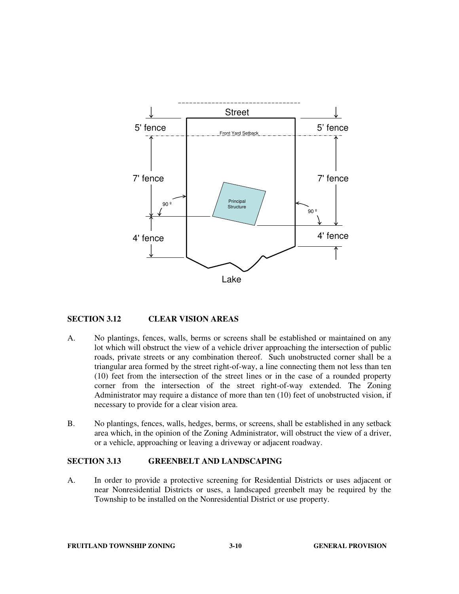

### **SECTION 3.12 CLEAR VISION AREAS**

- A. No plantings, fences, walls, berms or screens shall be established or maintained on any lot which will obstruct the view of a vehicle driver approaching the intersection of public roads, private streets or any combination thereof. Such unobstructed corner shall be a triangular area formed by the street right-of-way, a line connecting them not less than ten (10) feet from the intersection of the street lines or in the case of a rounded property corner from the intersection of the street right-of-way extended. The Zoning Administrator may require a distance of more than ten (10) feet of unobstructed vision, if necessary to provide for a clear vision area.
- B. No plantings, fences, walls, hedges, berms, or screens, shall be established in any setback area which, in the opinion of the Zoning Administrator, will obstruct the view of a driver, or a vehicle, approaching or leaving a driveway or adjacent roadway.

#### **SECTION 3.13 GREENBELT AND LANDSCAPING**

A. In order to provide a protective screening for Residential Districts or uses adjacent or near Nonresidential Districts or uses, a landscaped greenbelt may be required by the Township to be installed on the Nonresidential District or use property.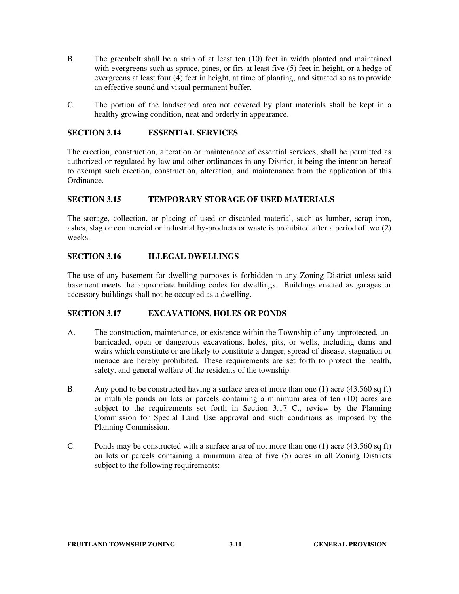- B. The greenbelt shall be a strip of at least ten (10) feet in width planted and maintained with evergreens such as spruce, pines, or firs at least five (5) feet in height, or a hedge of evergreens at least four (4) feet in height, at time of planting, and situated so as to provide an effective sound and visual permanent buffer.
- C. The portion of the landscaped area not covered by plant materials shall be kept in a healthy growing condition, neat and orderly in appearance.

### **SECTION 3.14 ESSENTIAL SERVICES**

The erection, construction, alteration or maintenance of essential services, shall be permitted as authorized or regulated by law and other ordinances in any District, it being the intention hereof to exempt such erection, construction, alteration, and maintenance from the application of this Ordinance.

### **SECTION 3.15 TEMPORARY STORAGE OF USED MATERIALS**

The storage, collection, or placing of used or discarded material, such as lumber, scrap iron, ashes, slag or commercial or industrial by-products or waste is prohibited after a period of two (2) weeks.

### **SECTION 3.16 ILLEGAL DWELLINGS**

The use of any basement for dwelling purposes is forbidden in any Zoning District unless said basement meets the appropriate building codes for dwellings. Buildings erected as garages or accessory buildings shall not be occupied as a dwelling.

### **SECTION 3.17 EXCAVATIONS, HOLES OR PONDS**

- A. The construction, maintenance, or existence within the Township of any unprotected, unbarricaded, open or dangerous excavations, holes, pits, or wells, including dams and weirs which constitute or are likely to constitute a danger, spread of disease, stagnation or menace are hereby prohibited. These requirements are set forth to protect the health, safety, and general welfare of the residents of the township.
- B. Any pond to be constructed having a surface area of more than one (1) acre (43,560 sq ft) or multiple ponds on lots or parcels containing a minimum area of ten (10) acres are subject to the requirements set forth in Section 3.17 C., review by the Planning Commission for Special Land Use approval and such conditions as imposed by the Planning Commission.
- C. Ponds may be constructed with a surface area of not more than one (1) acre (43,560 sq ft) on lots or parcels containing a minimum area of five (5) acres in all Zoning Districts subject to the following requirements: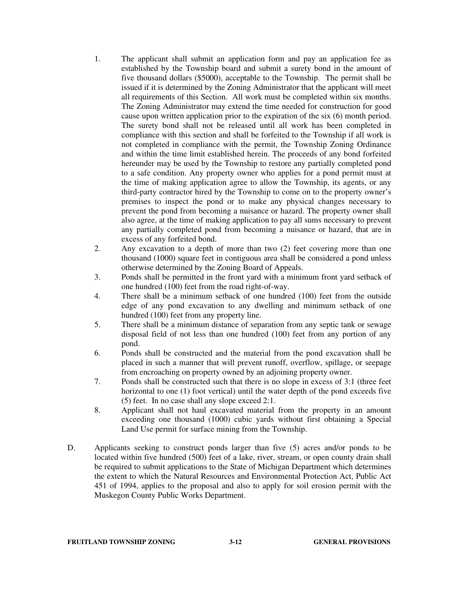- 1. The applicant shall submit an application form and pay an application fee as established by the Township board and submit a surety bond in the amount of five thousand dollars (\$5000), acceptable to the Township. The permit shall be issued if it is determined by the Zoning Administrator that the applicant will meet all requirements of this Section. All work must be completed within six months. The Zoning Administrator may extend the time needed for construction for good cause upon written application prior to the expiration of the six (6) month period. The surety bond shall not be released until all work has been completed in compliance with this section and shall be forfeited to the Township if all work is not completed in compliance with the permit, the Township Zoning Ordinance and within the time limit established herein. The proceeds of any bond forfeited hereunder may be used by the Township to restore any partially completed pond to a safe condition. Any property owner who applies for a pond permit must at the time of making application agree to allow the Township, its agents, or any third-party contractor hired by the Township to come on to the property owner's premises to inspect the pond or to make any physical changes necessary to prevent the pond from becoming a nuisance or hazard. The property owner shall also agree, at the time of making application to pay all sums necessary to prevent any partially completed pond from becoming a nuisance or hazard, that are in excess of any forfeited bond.
- 2. Any excavation to a depth of more than two (2) feet covering more than one thousand (1000) square feet in contiguous area shall be considered a pond unless otherwise determined by the Zoning Board of Appeals.
- 3. Ponds shall be permitted in the front yard with a minimum front yard setback of one hundred (100) feet from the road right-of-way.
- 4. There shall be a minimum setback of one hundred (100) feet from the outside edge of any pond excavation to any dwelling and minimum setback of one hundred (100) feet from any property line.
- 5. There shall be a minimum distance of separation from any septic tank or sewage disposal field of not less than one hundred (100) feet from any portion of any pond.
- 6. Ponds shall be constructed and the material from the pond excavation shall be placed in such a manner that will prevent runoff, overflow, spillage, or seepage from encroaching on property owned by an adjoining property owner.
- 7. Ponds shall be constructed such that there is no slope in excess of 3:1 (three feet horizontal to one (1) foot vertical) until the water depth of the pond exceeds five (5) feet. In no case shall any slope exceed 2:1.
- 8. Applicant shall not haul excavated material from the property in an amount exceeding one thousand (1000) cubic yards without first obtaining a Special Land Use permit for surface mining from the Township.
- D. Applicants seeking to construct ponds larger than five (5) acres and/or ponds to be located within five hundred (500) feet of a lake, river, stream, or open county drain shall be required to submit applications to the State of Michigan Department which determines the extent to which the Natural Resources and Environmental Protection Act, Public Act 451 of 1994, applies to the proposal and also to apply for soil erosion permit with the Muskegon County Public Works Department.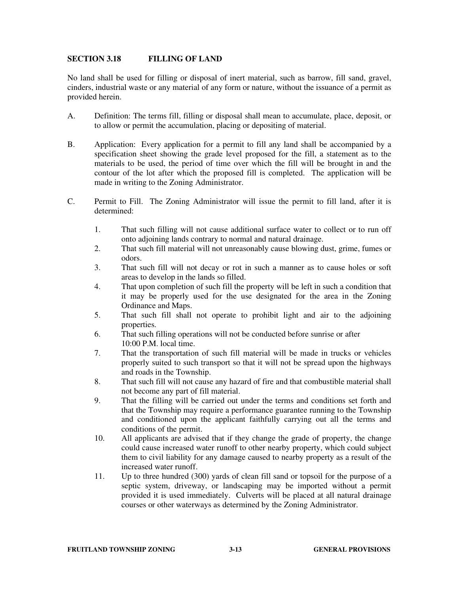### **SECTION 3.18 FILLING OF LAND**

No land shall be used for filling or disposal of inert material, such as barrow, fill sand, gravel, cinders, industrial waste or any material of any form or nature, without the issuance of a permit as provided herein.

- A. Definition: The terms fill, filling or disposal shall mean to accumulate, place, deposit, or to allow or permit the accumulation, placing or depositing of material.
- B. Application: Every application for a permit to fill any land shall be accompanied by a specification sheet showing the grade level proposed for the fill, a statement as to the materials to be used, the period of time over which the fill will be brought in and the contour of the lot after which the proposed fill is completed. The application will be made in writing to the Zoning Administrator.
- C. Permit to Fill. The Zoning Administrator will issue the permit to fill land, after it is determined:
	- 1. That such filling will not cause additional surface water to collect or to run off onto adjoining lands contrary to normal and natural drainage.
	- 2. That such fill material will not unreasonably cause blowing dust, grime, fumes or odors.
	- 3. That such fill will not decay or rot in such a manner as to cause holes or soft areas to develop in the lands so filled.
	- 4. That upon completion of such fill the property will be left in such a condition that it may be properly used for the use designated for the area in the Zoning Ordinance and Maps.
	- 5. That such fill shall not operate to prohibit light and air to the adjoining properties.
	- 6. That such filling operations will not be conducted before sunrise or after 10:00 P.M. local time.
	- 7. That the transportation of such fill material will be made in trucks or vehicles properly suited to such transport so that it will not be spread upon the highways and roads in the Township.
	- 8. That such fill will not cause any hazard of fire and that combustible material shall not become any part of fill material.
	- 9. That the filling will be carried out under the terms and conditions set forth and that the Township may require a performance guarantee running to the Township and conditioned upon the applicant faithfully carrying out all the terms and conditions of the permit.
	- 10. All applicants are advised that if they change the grade of property, the change could cause increased water runoff to other nearby property, which could subject them to civil liability for any damage caused to nearby property as a result of the increased water runoff.
	- 11. Up to three hundred (300) yards of clean fill sand or topsoil for the purpose of a septic system, driveway, or landscaping may be imported without a permit provided it is used immediately. Culverts will be placed at all natural drainage courses or other waterways as determined by the Zoning Administrator.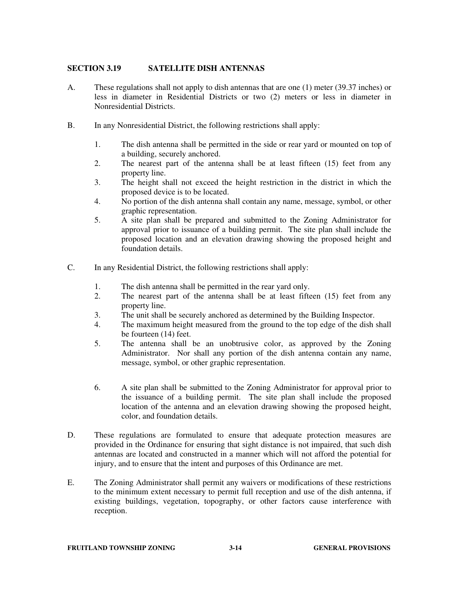# **SECTION 3.19 SATELLITE DISH ANTENNAS**

- A. These regulations shall not apply to dish antennas that are one (1) meter (39.37 inches) or less in diameter in Residential Districts or two (2) meters or less in diameter in Nonresidential Districts.
- B. In any Nonresidential District, the following restrictions shall apply:
	- 1. The dish antenna shall be permitted in the side or rear yard or mounted on top of a building, securely anchored.
	- 2. The nearest part of the antenna shall be at least fifteen (15) feet from any property line.
	- 3. The height shall not exceed the height restriction in the district in which the proposed device is to be located.
	- 4. No portion of the dish antenna shall contain any name, message, symbol, or other graphic representation.
	- 5. A site plan shall be prepared and submitted to the Zoning Administrator for approval prior to issuance of a building permit. The site plan shall include the proposed location and an elevation drawing showing the proposed height and foundation details.
- C. In any Residential District, the following restrictions shall apply:
	- 1. The dish antenna shall be permitted in the rear yard only.
	- 2. The nearest part of the antenna shall be at least fifteen (15) feet from any property line.
	- 3. The unit shall be securely anchored as determined by the Building Inspector.
	- 4. The maximum height measured from the ground to the top edge of the dish shall be fourteen (14) feet.
	- 5. The antenna shall be an unobtrusive color, as approved by the Zoning Administrator. Nor shall any portion of the dish antenna contain any name, message, symbol, or other graphic representation.
	- 6. A site plan shall be submitted to the Zoning Administrator for approval prior to the issuance of a building permit. The site plan shall include the proposed location of the antenna and an elevation drawing showing the proposed height, color, and foundation details.
- D. These regulations are formulated to ensure that adequate protection measures are provided in the Ordinance for ensuring that sight distance is not impaired, that such dish antennas are located and constructed in a manner which will not afford the potential for injury, and to ensure that the intent and purposes of this Ordinance are met.
- E. The Zoning Administrator shall permit any waivers or modifications of these restrictions to the minimum extent necessary to permit full reception and use of the dish antenna, if existing buildings, vegetation, topography, or other factors cause interference with reception.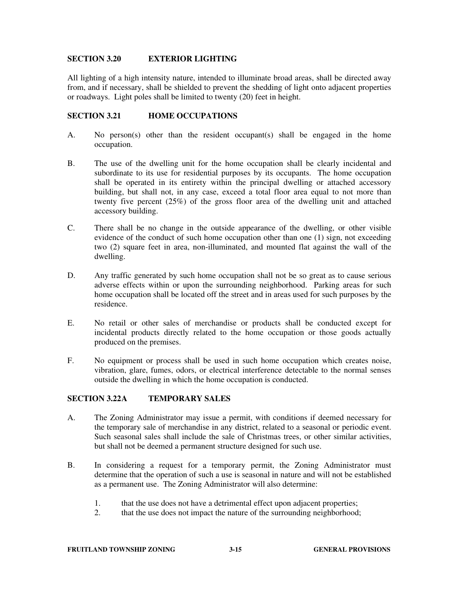### **SECTION 3.20 EXTERIOR LIGHTING**

All lighting of a high intensity nature, intended to illuminate broad areas, shall be directed away from, and if necessary, shall be shielded to prevent the shedding of light onto adjacent properties or roadways. Light poles shall be limited to twenty (20) feet in height.

### **SECTION 3.21 HOME OCCUPATIONS**

- A. No person(s) other than the resident occupant(s) shall be engaged in the home occupation.
- B. The use of the dwelling unit for the home occupation shall be clearly incidental and subordinate to its use for residential purposes by its occupants. The home occupation shall be operated in its entirety within the principal dwelling or attached accessory building, but shall not, in any case, exceed a total floor area equal to not more than twenty five percent (25%) of the gross floor area of the dwelling unit and attached accessory building.
- C. There shall be no change in the outside appearance of the dwelling, or other visible evidence of the conduct of such home occupation other than one (1) sign, not exceeding two (2) square feet in area, non-illuminated, and mounted flat against the wall of the dwelling.
- D. Any traffic generated by such home occupation shall not be so great as to cause serious adverse effects within or upon the surrounding neighborhood. Parking areas for such home occupation shall be located off the street and in areas used for such purposes by the residence.
- E. No retail or other sales of merchandise or products shall be conducted except for incidental products directly related to the home occupation or those goods actually produced on the premises.
- F. No equipment or process shall be used in such home occupation which creates noise, vibration, glare, fumes, odors, or electrical interference detectable to the normal senses outside the dwelling in which the home occupation is conducted.

#### **SECTION 3.22A TEMPORARY SALES**

- A. The Zoning Administrator may issue a permit, with conditions if deemed necessary for the temporary sale of merchandise in any district, related to a seasonal or periodic event. Such seasonal sales shall include the sale of Christmas trees, or other similar activities, but shall not be deemed a permanent structure designed for such use.
- B. In considering a request for a temporary permit, the Zoning Administrator must determine that the operation of such a use is seasonal in nature and will not be established as a permanent use. The Zoning Administrator will also determine:
	- 1. that the use does not have a detrimental effect upon adjacent properties;
	- 2. that the use does not impact the nature of the surrounding neighborhood;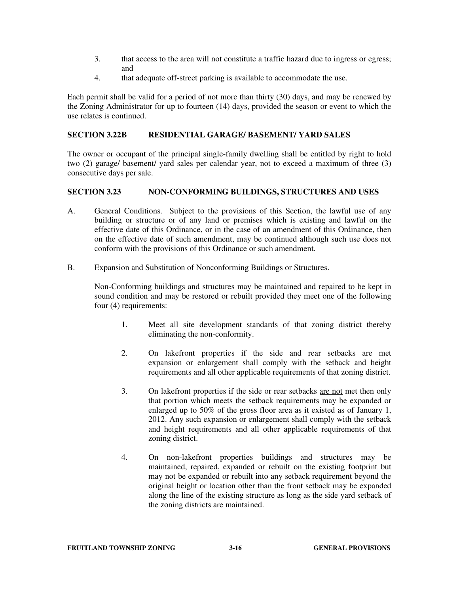- 3. that access to the area will not constitute a traffic hazard due to ingress or egress; and
- 4. that adequate off-street parking is available to accommodate the use.

Each permit shall be valid for a period of not more than thirty (30) days, and may be renewed by the Zoning Administrator for up to fourteen (14) days, provided the season or event to which the use relates is continued.

### **SECTION 3.22 B RESIDENTIAL GARAGE/ BASEMENT/ YARD SALES**

The owner or occupant of the principal single-family dwelling shall be entitled by right to hold two (2) garage/ basement/ yard sales per calendar year, not to exceed a maximum of three (3) consecutive days per sale.

### **SECTION 3.23 NON-CONFORMING BUILDINGS, STRUCTURES AND USES**

- A. General Conditions. Subject to the provisions of this Section, the lawful use of any building or structure or of any land or premises which is existing and lawful on the effective date of this Ordinance, or in the case of an amendment of this Ordinance, then on the effective date of such amendment, may be continued although such use does not conform with the provisions of this Ordinance or such amendment.
- B. Expansion and Substitution of Nonconforming Buildings or Structures.

 Non-Conforming buildings and structures may be maintained and repaired to be kept in sound condition and may be restored or rebuilt provided they meet one of the following four (4) requirements:

- 1. Meet all site development standards of that zoning district thereby eliminating the non-conformity.
- 2. On lakefront properties if the side and rear setbacks are met expansion or enlargement shall comply with the setback and height requirements and all other applicable requirements of that zoning district.
- 3. On lakefront properties if the side or rear setbacks are not met then only that portion which meets the setback requirements may be expanded or enlarged up to 50% of the gross floor area as it existed as of January 1, 2012. Any such expansion or enlargement shall comply with the setback and height requirements and all other applicable requirements of that zoning district.
- 4. On non-lakefront properties buildings and structures may be maintained, repaired, expanded or rebuilt on the existing footprint but may not be expanded or rebuilt into any setback requirement beyond the original height or location other than the front setback may be expanded along the line of the existing structure as long as the side yard setback of the zoning districts are maintained.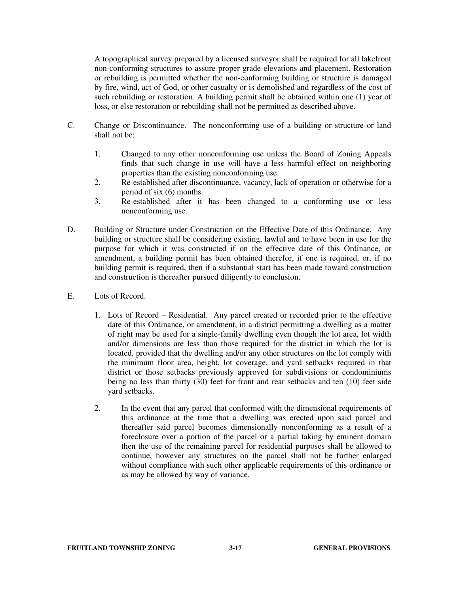A topographical survey prepared by a licensed surveyor shall be required for all lakefront non-conforming structures to assure proper grade elevations and placement. Restoration or rebuilding is permitted whether the non-conforming building or structure is damaged by fire, wind, act of God, or other casualty or is demolished and regardless of the cost of such rebuilding or restoration. A building permit shall be obtained within one (1) year of loss, or else restoration or rebuilding shall not be permitted as described above.

- C. Change or Discontinuance. The nonconforming use of a building or structure or land shall not be:
	- 1. Changed to any other nonconforming use unless the Board of Zoning Appeals finds that such change in use will have a less harmful effect on neighboring properties than the existing nonconforming use.
	- 2. Re-established after discontinuance, vacancy, lack of operation or otherwise for a period of six (6) months.
	- 3. Re-established after it has been changed to a conforming use or less nonconforming use.
- D. Building or Structure under Construction on the Effective Date of this Ordinance. Any building or structure shall be considering existing, lawful and to have been in use for the purpose for which it was constructed if on the effective date of this Ordinance, or amendment, a building permit has been obtained therefor, if one is required, or, if no building permit is required, then if a substantial start has been made toward construction and construction is thereafter pursued diligently to conclusion.
- E. Lots of Record.
	- 1. Lots of Record Residential. Any parcel created or recorded prior to the effective date of this Ordinance, or amendment, in a district permitting a dwelling as a matter of right may be used for a single-family dwelling even though the lot area, lot width and/or dimensions are less than those required for the district in which the lot is located, provided that the dwelling and/or any other structures on the lot comply with the minimum floor area, height, lot coverage, and yard setbacks required in that district or those setbacks previously approved for subdivisions or condominiums being no less than thirty (30) feet for front and rear setbacks and ten (10) feet side yard setbacks.
	- 2. In the event that any parcel that conformed with the dimensional requirements of this ordinance at the time that a dwelling was erected upon said parcel and thereafter said parcel becomes dimensionally nonconforming as a result of a foreclosure over a portion of the parcel or a partial taking by eminent domain then the use of the remaining parcel for residential purposes shall be allowed to continue, however any structures on the parcel shall not be further enlarged without compliance with such other applicable requirements of this ordinance or as may be allowed by way of variance.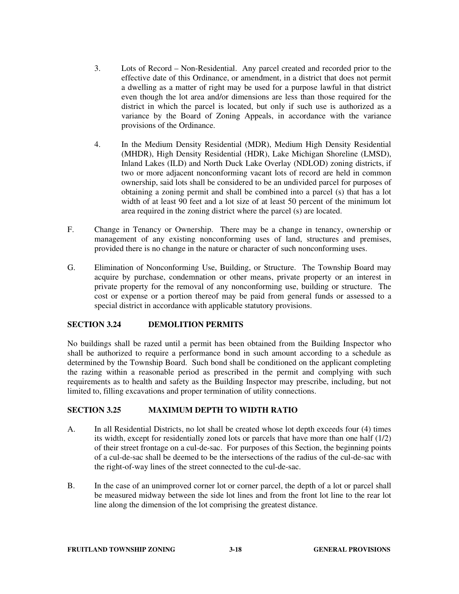- 3. Lots of Record Non-Residential. Any parcel created and recorded prior to the effective date of this Ordinance, or amendment, in a district that does not permit a dwelling as a matter of right may be used for a purpose lawful in that district even though the lot area and/or dimensions are less than those required for the district in which the parcel is located, but only if such use is authorized as a variance by the Board of Zoning Appeals, in accordance with the variance provisions of the Ordinance.
- 4. In the Medium Density Residential (MDR), Medium High Density Residential (MHDR), High Density Residential (HDR), Lake Michigan Shoreline (LMSD), Inland Lakes (ILD) and North Duck Lake Overlay (NDLOD) zoning districts, if two or more adjacent nonconforming vacant lots of record are held in common ownership, said lots shall be considered to be an undivided parcel for purposes of obtaining a zoning permit and shall be combined into a parcel (s) that has a lot width of at least 90 feet and a lot size of at least 50 percent of the minimum lot area required in the zoning district where the parcel (s) are located.
- F. Change in Tenancy or Ownership. There may be a change in tenancy, ownership or management of any existing nonconforming uses of land, structures and premises, provided there is no change in the nature or character of such nonconforming uses.
- G. Elimination of Nonconforming Use, Building, or Structure. The Township Board may acquire by purchase, condemnation or other means, private property or an interest in private property for the removal of any nonconforming use, building or structure. The cost or expense or a portion thereof may be paid from general funds or assessed to a special district in accordance with applicable statutory provisions.

### **SECTION 3.24 DEMOLITION PERMITS**

No buildings shall be razed until a permit has been obtained from the Building Inspector who shall be authorized to require a performance bond in such amount according to a schedule as determined by the Township Board. Such bond shall be conditioned on the applicant completing the razing within a reasonable period as prescribed in the permit and complying with such requirements as to health and safety as the Building Inspector may prescribe, including, but not limited to, filling excavations and proper termination of utility connections.

### **SECTION 3.25 MAXIMUM DEPTH TO WIDTH RATIO**

- A. In all Residential Districts, no lot shall be created whose lot depth exceeds four (4) times its width, except for residentially zoned lots or parcels that have more than one half (1/2) of their street frontage on a cul-de-sac. For purposes of this Section, the beginning points of a cul-de-sac shall be deemed to be the intersections of the radius of the cul-de-sac with the right-of-way lines of the street connected to the cul-de-sac.
- B. In the case of an unimproved corner lot or corner parcel, the depth of a lot or parcel shall be measured midway between the side lot lines and from the front lot line to the rear lot line along the dimension of the lot comprising the greatest distance.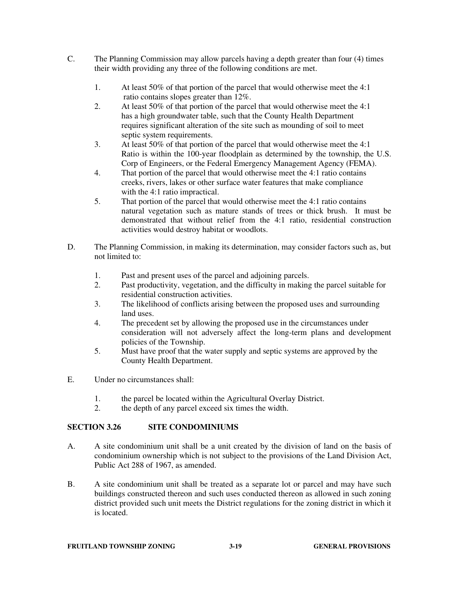- C. The Planning Commission may allow parcels having a depth greater than four (4) times their width providing any three of the following conditions are met.
	- 1. At least 50% of that portion of the parcel that would otherwise meet the 4:1 ratio contains slopes greater than 12%.
	- 2. At least 50% of that portion of the parcel that would otherwise meet the 4:1 has a high groundwater table, such that the County Health Department requires significant alteration of the site such as mounding of soil to meet septic system requirements.
	- 3. At least 50% of that portion of the parcel that would otherwise meet the 4:1 Ratio is within the 100-year floodplain as determined by the township, the U.S. Corp of Engineers, or the Federal Emergency Management Agency (FEMA).
	- 4. That portion of the parcel that would otherwise meet the 4:1 ratio contains creeks, rivers, lakes or other surface water features that make compliance with the 4:1 ratio impractical.
	- 5. That portion of the parcel that would otherwise meet the 4:1 ratio contains natural vegetation such as mature stands of trees or thick brush. It must be demonstrated that without relief from the 4:1 ratio, residential construction activities would destroy habitat or woodlots.
- D. The Planning Commission, in making its determination, may consider factors such as, but not limited to:
	- 1. Past and present uses of the parcel and adjoining parcels.
	- 2. Past productivity, vegetation, and the difficulty in making the parcel suitable for residential construction activities.
	- 3. The likelihood of conflicts arising between the proposed uses and surrounding land uses.
	- 4. The precedent set by allowing the proposed use in the circumstances under consideration will not adversely affect the long-term plans and development policies of the Township.
	- 5. Must have proof that the water supply and septic systems are approved by the County Health Department.
- E. Under no circumstances shall:
	- 1. the parcel be located within the Agricultural Overlay District.
	- 2. the depth of any parcel exceed six times the width.

# **SECTION 3.26 SITE CONDOMINIUMS**

- A. A site condominium unit shall be a unit created by the division of land on the basis of condominium ownership which is not subject to the provisions of the Land Division Act, Public Act 288 of 1967, as amended.
- B. A site condominium unit shall be treated as a separate lot or parcel and may have such buildings constructed thereon and such uses conducted thereon as allowed in such zoning district provided such unit meets the District regulations for the zoning district in which it is located.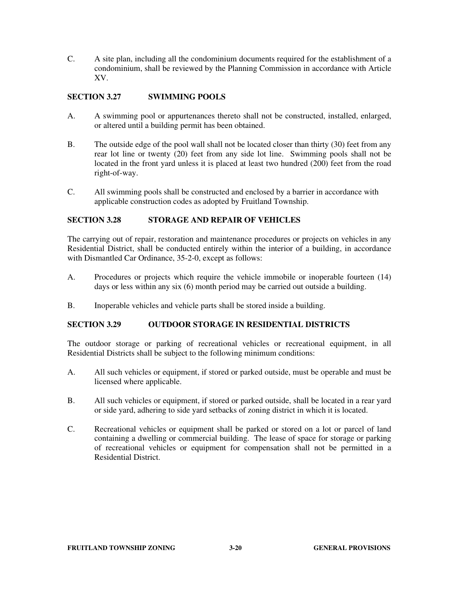C. A site plan, including all the condominium documents required for the establishment of a condominium, shall be reviewed by the Planning Commission in accordance with Article XV.

# **SECTION 3.27 SWIMMING POOLS**

- A. A swimming pool or appurtenances thereto shall not be constructed, installed, enlarged, or altered until a building permit has been obtained.
- B. The outside edge of the pool wall shall not be located closer than thirty (30) feet from any rear lot line or twenty (20) feet from any side lot line. Swimming pools shall not be located in the front yard unless it is placed at least two hundred (200) feet from the road right-of-way.
- C. All swimming pools shall be constructed and enclosed by a barrier in accordance with applicable construction codes as adopted by Fruitland Township.

## **SECTION 3.28 STORAGE AND REPAIR OF VEHICLES**

The carrying out of repair, restoration and maintenance procedures or projects on vehicles in any Residential District, shall be conducted entirely within the interior of a building, in accordance with Dismantled Car Ordinance, 35-2-0, except as follows:

- A. Procedures or projects which require the vehicle immobile or inoperable fourteen (14) days or less within any six (6) month period may be carried out outside a building.
- B. Inoperable vehicles and vehicle parts shall be stored inside a building.

### **SECTION 3.29 OUTDOOR STORAGE IN RESIDENTIAL DISTRICTS**

The outdoor storage or parking of recreational vehicles or recreational equipment, in all Residential Districts shall be subject to the following minimum conditions:

- A. All such vehicles or equipment, if stored or parked outside, must be operable and must be licensed where applicable.
- B. All such vehicles or equipment, if stored or parked outside, shall be located in a rear yard or side yard, adhering to side yard setbacks of zoning district in which it is located.
- C. Recreational vehicles or equipment shall be parked or stored on a lot or parcel of land containing a dwelling or commercial building. The lease of space for storage or parking of recreational vehicles or equipment for compensation shall not be permitted in a Residential District.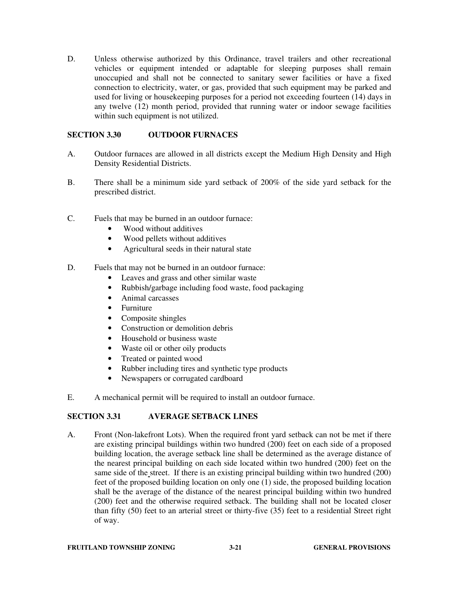D. Unless otherwise authorized by this Ordinance, travel trailers and other recreational vehicles or equipment intended or adaptable for sleeping purposes shall remain unoccupied and shall not be connected to sanitary sewer facilities or have a fixed connection to electricity, water, or gas, provided that such equipment may be parked and used for living or house keeping purposes for a period not exceeding fourteen  $(14)$  days in any twelve (12) month period, provided that running water or indoor sewage facilities within such equipment is not utilized.

# **SECTION 3.30 OUTDOOR FURNACES**

- A. Outdoor furnaces are allowed in all districts except the Medium High Density and High Density Residential Districts.
- B. There shall be a minimum side yard setback of 200% of the side yard setback for the prescribed district.
- C. Fuels that may be burned in an outdoor furnace:
	- Wood without additives
	- Wood pellets without additives
	- Agricultural seeds in their natural state
- D. Fuels that may not be burned in an outdoor furnace:
	- Leaves and grass and other similar waste
	- Rubbish/garbage including food waste, food packaging
	- Animal carcasses
	- Furniture
	- Composite shingles
	- Construction or demolition debris
	- Household or business waste
	- Waste oil or other oily products
	- Treated or painted wood
	- Rubber including tires and synthetic type products
	- Newspapers or corrugated cardboard
- E. A mechanical permit will be required to install an outdoor furnace.

# **SECTION 3.31 AVERAGE SETBACK LINES**

A. Front (Non-lakefront Lots). When the required front yard setback can not be met if there are existing principal buildings within two hundred (200) feet on each side of a proposed building location, the average setback line shall be determined as the average distance of the nearest principal building on each side located within two hundred (200) feet on the same side of the street. If there is an existing principal building within two hundred (200) feet of the proposed building location on only one (1) side, the proposed building location shall be the average of the distance of the nearest principal building within two hundred (200) feet and the otherwise required setback. The building shall not be located closer than fifty (50) feet to an arterial street or thirty-five (35) feet to a residential Street right of way.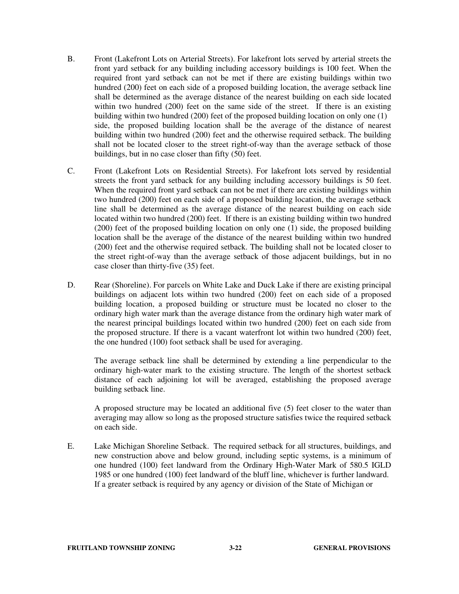- B. Front (Lakefront Lots on Arterial Streets). For lakefront lots served by arterial streets the front yard setback for any building including accessory buildings is 100 feet. When the required front yard setback can not be met if there are existing buildings within two hundred (200) feet on each side of a proposed building location, the average setback line shall be determined as the average distance of the nearest building on each side located within two hundred (200) feet on the same side of the street. If there is an existing building within two hundred (200) feet of the proposed building location on only one (1) side, the proposed building location shall be the average of the distance of nearest building within two hundred (200) feet and the otherwise required setback. The building shall not be located closer to the street right-of-way than the average setback of those buildings, but in no case closer than fifty (50) feet.
- C. Front (Lakefront Lots on Residential Streets). For lakefront lots served by residential streets the front yard setback for any building including accessory buildings is 50 feet. When the required front yard setback can not be met if there are existing buildings within two hundred (200) feet on each side of a proposed building location, the average setback line shall be determined as the average distance of the nearest building on each side located within two hundred (200) feet. If there is an existing building within two hundred (200) feet of the proposed building location on only one (1) side, the proposed building location shall be the average of the distance of the nearest building within two hundred (200) feet and the otherwise required setback. The building shall not be located closer to the street right-of-way than the average setback of those adjacent buildings, but in no case closer than thirty-five (35) feet.
- D. Rear (Shoreline). For parcels on White Lake and Duck Lake if there are existing principal buildings on adjacent lots within two hundred (200) feet on each side of a proposed building location, a proposed building or structure must be located no closer to the ordinary high water mark than the average distance from the ordinary high water mark of the nearest principal buildings located within two hundred (200) feet on each side from the proposed structure. If there is a vacant waterfront lot within two hundred (200) feet, the one hundred (100) foot setback shall be used for averaging.

The average setback line shall be determined by extending a line perpendicular to the ordinary high-water mark to the existing structure. The length of the shortest setback distance of each adjoining lot will be averaged, establishing the proposed average building setback line.

A proposed structure may be located an additional five (5) feet closer to the water than averaging may allow so long as the proposed structure satisfies twice the required setback on each side.

E. Lake Michigan Shoreline Setback. The required setback for all structures, buildings, and new construction above and below ground, including septic systems, is a minimum of one hundred (100) feet landward from the Ordinary High-Water Mark of 580.5 IGLD 1985 or one hundred (100) feet landward of the bluff line, whichever is further landward. If a greater setback is required by any agency or division of the State of Michigan or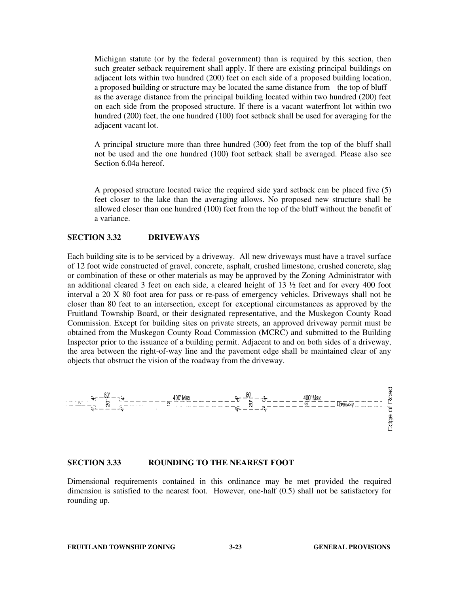Michigan statute (or by the federal government) than is required by this section, then such greater setback requirement shall apply. If there are existing principal buildings on adjacent lots within two hundred (200) feet on each side of a proposed building location, a proposed building or structure may be located the same distance from the top of bluff as the average distance from the principal building located within two hundred (200) feet on each side from the proposed structure. If there is a vacant waterfront lot within two hundred (200) feet, the one hundred (100) foot setback shall be used for averaging for the adjacent vacant lot.

 A principal structure more than three hundred (300) feet from the top of the bluff shall not be used and the one hundred (100) foot setback shall be averaged. Please also see Section 6.04a hereof.

A proposed structure located twice the required side yard setback can be placed five (5) feet closer to the lake than the averaging allows. No proposed new structure shall be allowed closer than one hundred (100) feet from the top of the bluff without the benefit of a variance.

#### **SECTION 3.32 DRIVEWAYS**

Each building site is to be serviced by a driveway. All new driveways must have a travel surface of 12 foot wide constructed of gravel, concrete, asphalt, crushed limestone, crushed concrete, slag or combination of these or other materials as may be approved by the Zoning Administrator with an additional cleared 3 feet on each side, a cleared height of  $13 \frac{1}{2}$  feet and for every 400 foot interval a 20 X 80 foot area for pass or re-pass of emergency vehicles. Driveways shall not be closer than 80 feet to an intersection, except for exceptional circumstances as approved by the Fruitland Township Board, or their designated representative, and the Muskegon County Road Commission. Except for building sites on private streets, an approved driveway permit must be obtained from the Muskegon County Road Commission (MCRC) and submitted to the Building Inspector prior to the issuance of a building permit. Adjacent to and on both sides of a driveway, the area between the right-of-way line and the pavement edge shall be maintained clear of any



### **SECTION 3.33 ROUNDING TO THE NEAREST FOOT**

Dimensional requirements contained in this ordinance may be met provided the required dimension is satisfied to the nearest foot. However, one-half (0.5) shall not be satisfactory for rounding up.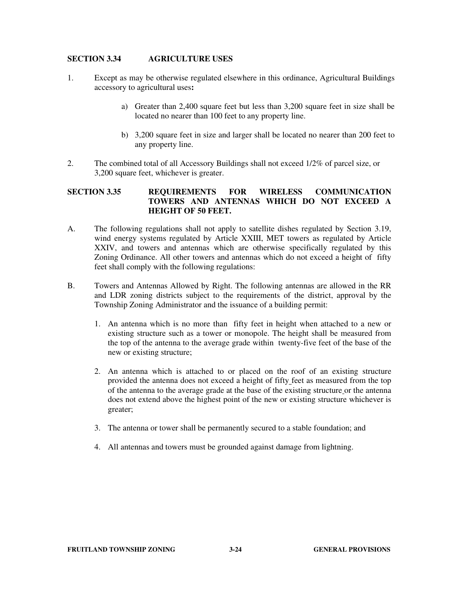### **SECTION 3.34 AGRICULTURE USES**

- 1. Except as may be otherwise regulated elsewhere in this ordinance, Agricultural Buildings accessory to agricultural uses**:** 
	- a) Greater than 2,400 square feet but less than 3,200 square feet in size shall be located no nearer than 100 feet to any property line.
	- b) 3,200 square feet in size and larger shall be located no nearer than 200 feet to any property line.
- 2. The combined total of all Accessory Buildings shall not exceed 1/2% of parcel size, or 3,200 square feet, whichever is greater.

### **SECTION 3.35 REQUIREMENTS FOR WIRELESS COMMUNICATION TOWERS AND ANTENNAS WHICH DO NOT EXCEED A HEIGHT OF 50 FEET.**

- A. The following regulations shall not apply to satellite dishes regulated by Section 3.19, wind energy systems regulated by Article XXIII, MET towers as regulated by Article XXIV, and towers and antennas which are otherwise specifically regulated by this Zoning Ordinance. All other towers and antennas which do not exceed a height of fifty feet shall comply with the following regulations:
- B. Towers and Antennas Allowed by Right. The following antennas are allowed in the RR and LDR zoning districts subject to the requirements of the district, approval by the Township Zoning Administrator and the issuance of a building permit:
	- 1. An antenna which is no more than fifty feet in height when attached to a new or existing structure such as a tower or monopole. The height shall be measured from the top of the antenna to the average grade within twenty-five feet of the base of the new or existing structure;
	- 2. An antenna which is attached to or placed on the roof of an existing structure provided the antenna does not exceed a height of fifty feet as measured from the top of the antenna to the average grade at the base of the existing structure or the antenna does not extend above the highest point of the new or existing structure whichever is greater;
	- 3. The antenna or tower shall be permanently secured to a stable foundation; and
	- 4. All antennas and towers must be grounded against damage from lightning.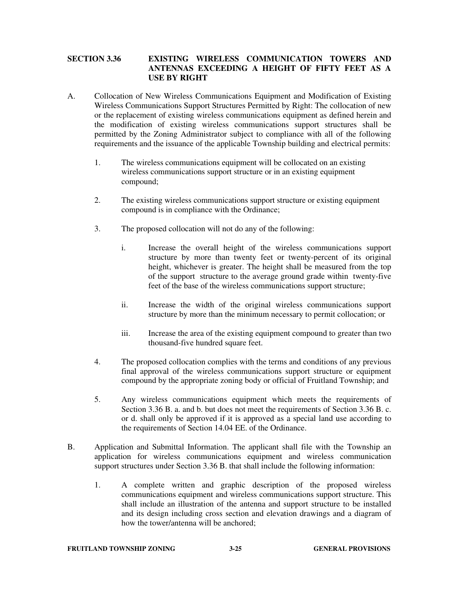# **SECTION 3.36 EXISTING WIRELESS COMMUNICATION TOWERS AND ANTENNAS EXCEEDING A HEIGHT OF FIFTY FEET AS A USE BY RIGHT**

- A.Collocation of New Wireless Communications Equipment and Modification of Existing Wireless Communications Support Structures Permitted by Right: The collocation of new or the replacement of existing wireless communications equipment as defined herein and the modification of existing wireless communications support structures shall be permitted by the Zoning Administrator subject to compliance with all of the following requirements and the issuance of the applicable Township building and electrical permits:
	- 1.The wireless communications equipment will be collocated on an existing wireless communications support structure or in an existing equipment compound;
	- 2.The existing wireless communications support structure or existing equipment compound is in compliance with the Ordinance;
	- 3.The proposed collocation will not do any of the following:
		- i. Increase the overall height of the wireless communications support structure by more than twenty feet or twenty-percent of its original height, whichever is greater. The height shall be measured from the top of the support structure to the average ground grade within twenty-five feet of the base of the wireless communications support structure;
		- ii. Increase the width of the original wireless communications support structure by more than the minimum necessary to permit collocation; or
		- iii. Increase the area of the existing equipment compound to greater than two thousand-five hundred square feet.
	- 4.The proposed collocation complies with the terms and conditions of any previous final approval of the wireless communications support structure or equipment compound by the appropriate zoning body or official of Fruitland Township; and
	- 5.Any wireless communications equipment which meets the requirements of Section 3.36 B. a. and b. but does not meet the requirements of Section 3.36 B. c. or d. shall only be approved if it is approved as a special land use according to the requirements of Section 14.04 EE. of the Ordinance.
- B.Application and Submittal Information. The applicant shall file with the Township an application for wireless communications equipment and wireless communication support structures under Section 3.36 B. that shall include the following information:
	- 1.A complete written and graphic description of the proposed wireless communications equipment and wireless communications support structure. This shall include an illustration of the antenna and support structure to be installed and its design including cross section and elevation drawings and a diagram of how the tower/antenna will be anchored;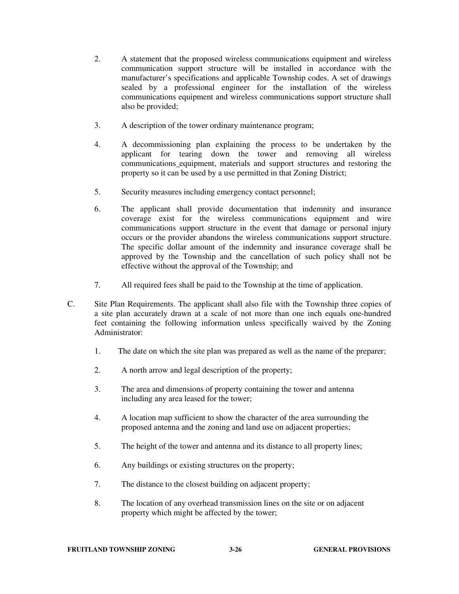- 2. A statement that the proposed wireless communications equipment and wireless communication support structure will be installed in accordance with the manufacturer's specifications and applicable Township codes. A set of drawings sealed by a professional engineer for the installation of the wireless communications equipment and wireless communications support structure shall also be provided;
- 3.A description of the tower ordinary maintenance program;
- 4.A decommissioning plan explaining the process to be undertaken by the applicant for tearing down the tower and removing all wireless communications equipment, materials and support structures and restoring the property so it can be used by a use permitted in that Zoning District;
- 5.Security measures including emergency contact personnel;
- 6.The applicant shall provide documentation that indemnity and insurance coverage exist for the wireless communications equipment and wire communications support structure in the event that damage or personal injury occurs or the provider abandons the wireless communications support structure. The specific dollar amount of the indemnity and insurance coverage shall be approved by the Township and the cancellation of such policy shall not be effective without the approval of the Township; and
- 7. All required fees shall be paid to the Township at the time of application.
- C.Site Plan Requirements. The applicant shall also file with the Township three copies of a site plan accurately drawn at a scale of not more than one inch equals one-hundred feet containing the following information unless specifically waived by the Zoning Administrator:
	- 1.The date on which the site plan was prepared as well as the name of the preparer;
	- 2.A north arrow and legal description of the property;
	- 3.The area and dimensions of property containing the tower and antenna including any area leased for the tower;
	- 4.A location map sufficient to show the character of the area surrounding the proposed antenna and the zoning and land use on adjacent properties;
	- 5.The height of the tower and antenna and its distance to all property lines;
	- 6.Any buildings or existing structures on the property;
	- 7.The distance to the closest building on adjacent property;
	- 8.The location of any overhead transmission lines on the site or on adjacent property which might be affected by the tower;